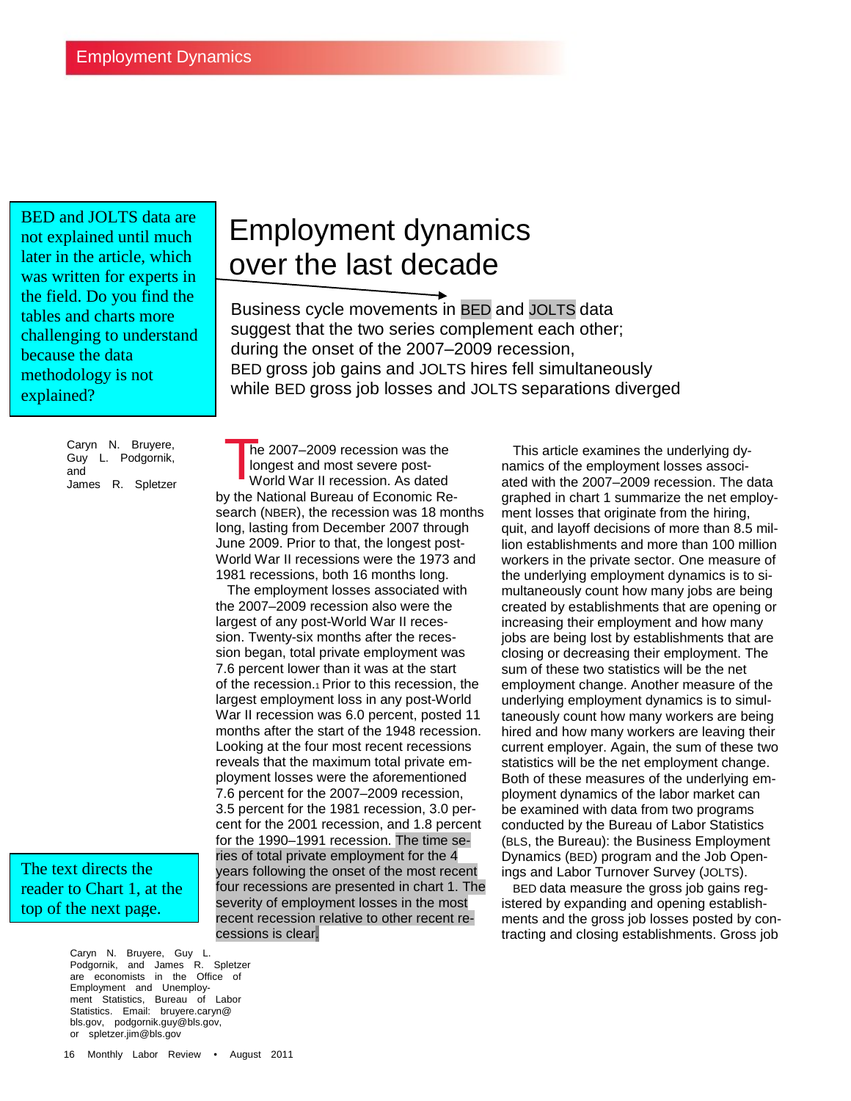BED and JOLTS data are not explained until much later in the article, which was written for experts in the field. Do you find the tables and charts more challenging to understand because the data methodology is not explained?

> Caryn N. Bruyere, Guy L. Podgornik, and James R. Spletzer

The text directs the reader to Chart 1, at the top of the next page.

> Caryn N. Bruyere, Guy L. Podgornik, and James R. Spletzer are economists in the Office of Employment and Unemployment Statistics, Bureau of Labor Statistics. Email: bruyere.caryn@ bls.gov, podgornik.guy@bls.gov, or spletzer.jim@bls.gov

# Employment dynamics over the last decade

Business cycle movements in BED and JOLTS data suggest that the two series complement each other; during the onset of the 2007–2009 recession, BED gross job gains and JOLTS hires fell simultaneously while BED gross job losses and JOLTS separations diverged

 he 2007–2009 recession was the longest and most severe post- World War II recession. As dated by the National Bureau of Economic Research (NBER), the recession was 18 months long, lasting from December 2007 through June 2009. Prior to that, the longest post-World War II recessions were the 1973 and 1981 recessions, both 16 months long. This article examines the underlying dy-<br>
longest and most severe post-<br>
World War II recession. As dated ated with the 2007–2009 recession. The data<br>
Ated with the 2007–2009 recession. The data

 The employment losses associated with the 2007–2009 recession also were the largest of any post-World War II recession. Twenty-six months after the recession began, total private employment was 7.6 percent lower than it was at the start of the recession.1 Prior to this recession, the largest employment loss in any post-World War II recession was 6.0 percent, posted 11 months after the start of the 1948 recession. Looking at the four most recent recessions reveals that the maximum total private employment losses were the aforementioned 7.6 percent for the 2007–2009 recession, 3.5 percent for the 1981 recession, 3.0 percent for the 2001 recession, and 1.8 percent for the 1990–1991 recession. The time series of total private employment for the 4 years following the onset of the most recent four recessions are presented in chart 1. The severity of employment losses in the most recent recession relative to other recent recessions is clear.

namics of the employment losses associgraphed in chart 1 summarize the net employment losses that originate from the hiring. quit, and layoff decisions of more than 8.5 million establishments and more than 100 million workers in the private sector. One measure of the underlying employment dynamics is to simultaneously count how many jobs are being created by establishments that are opening or increasing their employment and how many jobs are being lost by establishments that are closing or decreasing their employment. The sum of these two statistics will be the net employment change. Another measure of the underlying employment dynamics is to simultaneously count how many workers are being hired and how many workers are leaving their current employer. Again, the sum of these two statistics will be the net employment change. Both of these measures of the underlying employment dynamics of the labor market can be examined with data from two programs conducted by the Bureau of Labor Statistics (BLS, the Bureau): the Business Employment Dynamics (BED) program and the Job Openings and Labor Turnover Survey (JOLTS).

 BED data measure the gross job gains registered by expanding and opening establishments and the gross job losses posted by contracting and closing establishments. Gross job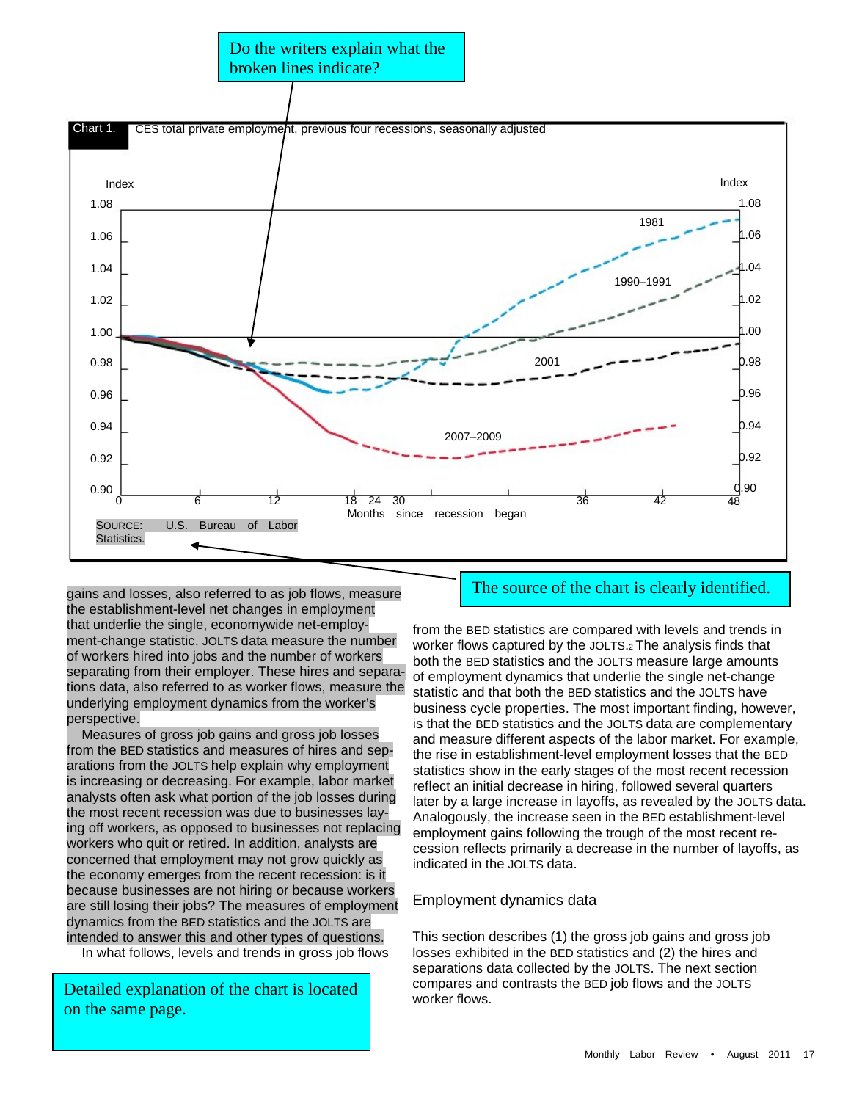

gains and losses, also referred to as job flows, measure the establishment-level net changes in employment that underlie the single, economywide net-employment-change statistic. JOLTS data measure the number of workers hired into jobs and the number of workers separating from their employer. These hires and separations data, also referred to as worker flows, measure the underlying employment dynamics from the worker's perspective.

 Measures of gross job gains and gross job losses from the BED statistics and measures of hires and separations from the JOLTS help explain why employment is increasing or decreasing. For example, labor market analysts often ask what portion of the job losses during the most recent recession was due to businesses laying off workers, as opposed to businesses not replacing workers who quit or retired. In addition, analysts are concerned that employment may not grow quickly as the economy emerges from the recent recession: is it because businesses are not hiring or because workers are still losing their jobs? The measures of employment dynamics from the BED statistics and the JOLTS are intended to answer this and other types of questions.

In what follows, levels and trends in gross job flows

Detailed explanation of the chart is located on the same page.

# The source of the chart is clearly identified.

from the BED statistics are compared with levels and trends in worker flows captured by the JOLTS.2 The analysis finds that both the BED statistics and the JOLTS measure large amounts of employment dynamics that underlie the single net-change statistic and that both the BED statistics and the JOLTS have business cycle properties. The most important finding, however, is that the BED statistics and the JOLTS data are complementary and measure different aspects of the labor market. For example, the rise in establishment-level employment losses that the BED statistics show in the early stages of the most recent recession reflect an initial decrease in hiring, followed several quarters later by a large increase in layoffs, as revealed by the JOLTS data. Analogously, the increase seen in the BED establishment-level employment gains following the trough of the most recent recession reflects primarily a decrease in the number of layoffs, as indicated in the JOLTS data.

#### Employment dynamics data

This section describes (1) the gross job gains and gross job losses exhibited in the BED statistics and (2) the hires and separations data collected by the JOLTS. The next section compares and contrasts the BED job flows and the JOLTS worker flows.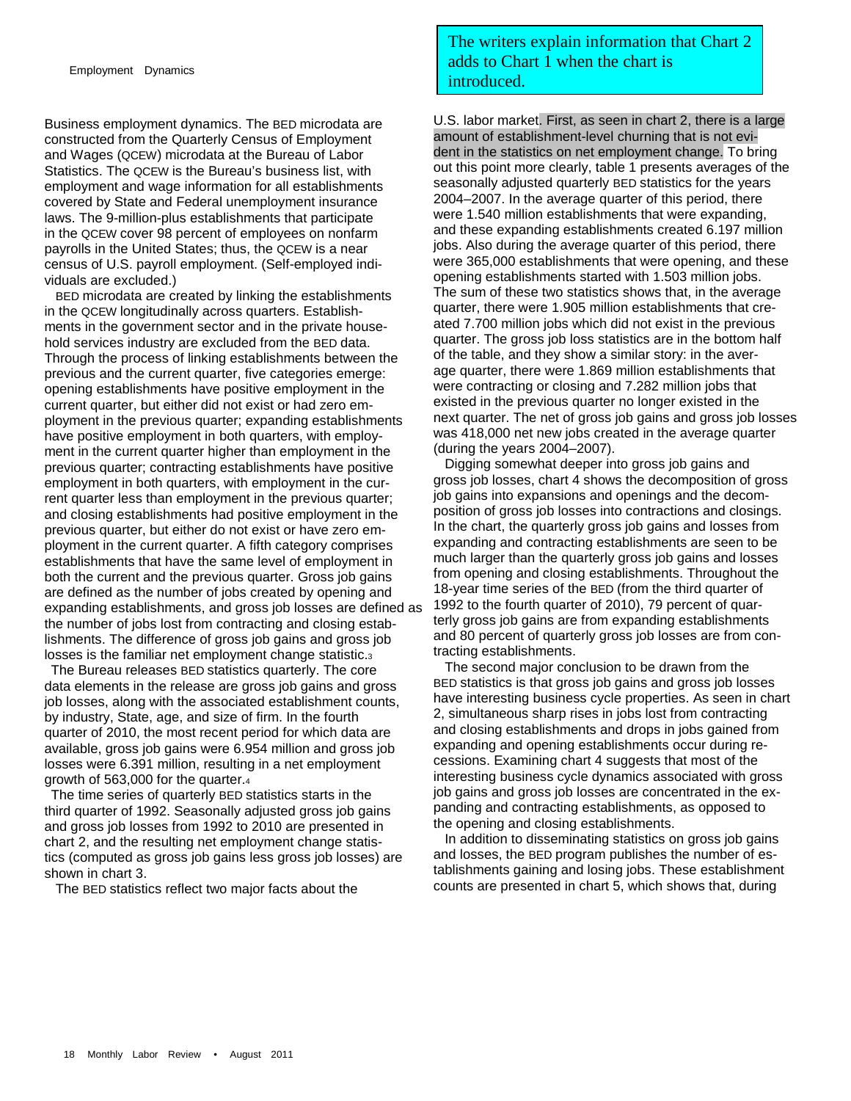Business employment dynamics. The BED microdata are constructed from the Quarterly Census of Employment and Wages (QCEW) microdata at the Bureau of Labor Statistics. The QCEW is the Bureau's business list, with employment and wage information for all establishments covered by State and Federal unemployment insurance laws. The 9-million-plus establishments that participate in the QCEW cover 98 percent of employees on nonfarm payrolls in the United States; thus, the QCEW is a near census of U.S. payroll employment. (Self-employed individuals are excluded.)

 BED microdata are created by linking the establishments in the QCEW longitudinally across quarters. Establishments in the government sector and in the private household services industry are excluded from the BED data. Through the process of linking establishments between the previous and the current quarter, five categories emerge: opening establishments have positive employment in the current quarter, but either did not exist or had zero employment in the previous quarter; expanding establishments have positive employment in both quarters, with employment in the current quarter higher than employment in the previous quarter; contracting establishments have positive employment in both quarters, with employment in the current quarter less than employment in the previous quarter; and closing establishments had positive employment in the previous quarter, but either do not exist or have zero employment in the current quarter. A fifth category comprises establishments that have the same level of employment in both the current and the previous quarter. Gross job gains are defined as the number of jobs created by opening and expanding establishments, and gross job losses are defined as the number of jobs lost from contracting and closing establishments. The difference of gross job gains and gross job losses is the familiar net employment change statistic.3

 The Bureau releases BED statistics quarterly. The core data elements in the release are gross job gains and gross job losses, along with the associated establishment counts, by industry, State, age, and size of firm. In the fourth quarter of 2010, the most recent period for which data are available, gross job gains were 6.954 million and gross job losses were 6.391 million, resulting in a net employment growth of 563,000 for the quarter.4

 The time series of quarterly BED statistics starts in the third quarter of 1992. Seasonally adjusted gross job gains and gross job losses from 1992 to 2010 are presented in chart 2, and the resulting net employment change statistics (computed as gross job gains less gross job losses) are shown in chart 3.

The BED statistics reflect two major facts about the

# The writers explain information that Chart 2 adds to Chart 1 when the chart is introduced.

U.S. labor market. First, as seen in chart 2, there is a large amount of establishment-level churning that is not evident in the statistics on net employment change. To bring out this point more clearly, table 1 presents averages of the seasonally adjusted quarterly BED statistics for the years 2004–2007. In the average quarter of this period, there were 1.540 million establishments that were expanding, and these expanding establishments created 6.197 million jobs. Also during the average quarter of this period, there were 365,000 establishments that were opening, and these opening establishments started with 1.503 million jobs. The sum of these two statistics shows that, in the average quarter, there were 1.905 million establishments that created 7.700 million jobs which did not exist in the previous quarter. The gross job loss statistics are in the bottom half of the table, and they show a similar story: in the average quarter, there were 1.869 million establishments that were contracting or closing and 7.282 million jobs that existed in the previous quarter no longer existed in the next quarter. The net of gross job gains and gross job losses was 418,000 net new jobs created in the average quarter (during the years 2004–2007).

 Digging somewhat deeper into gross job gains and gross job losses, chart 4 shows the decomposition of gross job gains into expansions and openings and the decomposition of gross job losses into contractions and closings. In the chart, the quarterly gross job gains and losses from expanding and contracting establishments are seen to be much larger than the quarterly gross job gains and losses from opening and closing establishments. Throughout the 18-year time series of the BED (from the third quarter of 1992 to the fourth quarter of 2010), 79 percent of quarterly gross job gains are from expanding establishments and 80 percent of quarterly gross job losses are from contracting establishments.

 The second major conclusion to be drawn from the BED statistics is that gross job gains and gross job losses have interesting business cycle properties. As seen in chart 2, simultaneous sharp rises in jobs lost from contracting and closing establishments and drops in jobs gained from expanding and opening establishments occur during recessions. Examining chart 4 suggests that most of the interesting business cycle dynamics associated with gross job gains and gross job losses are concentrated in the expanding and contracting establishments, as opposed to the opening and closing establishments.

 In addition to disseminating statistics on gross job gains and losses, the BED program publishes the number of establishments gaining and losing jobs. These establishment counts are presented in chart 5, which shows that, during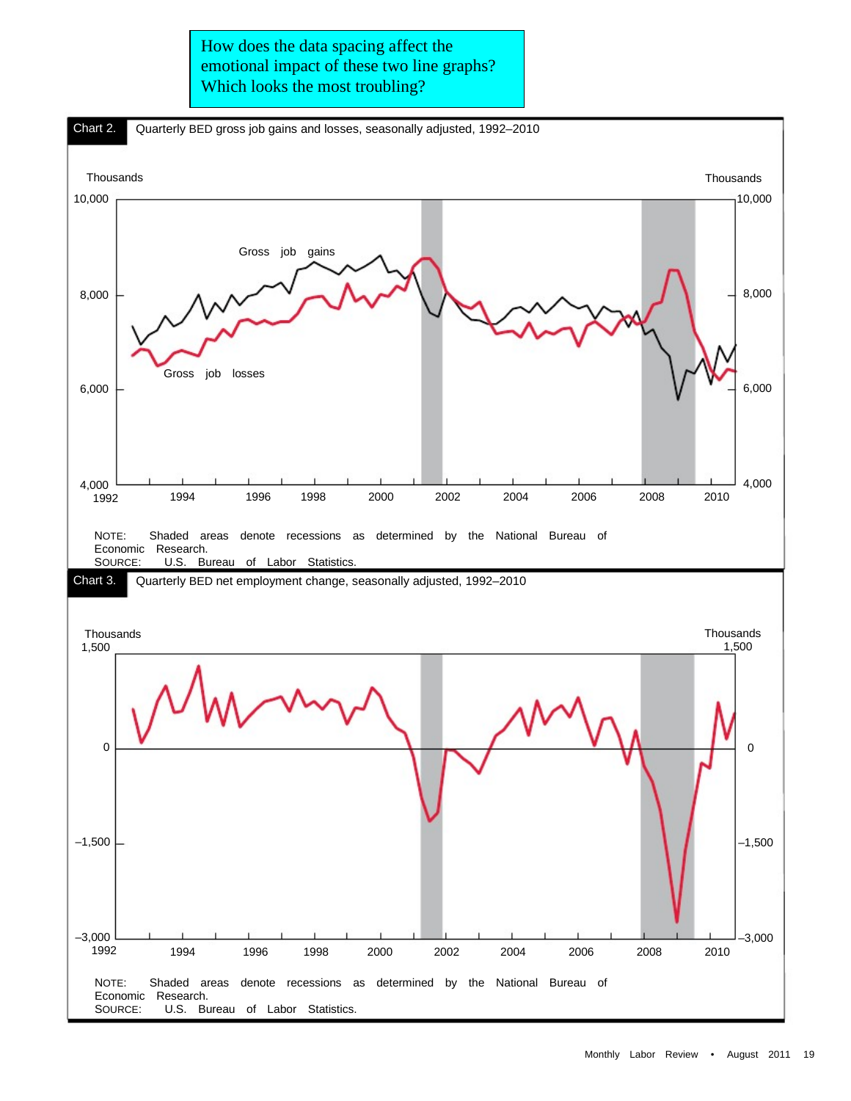How does the data spacing affect the emotional impact of these two line graphs? Which looks the most troubling?

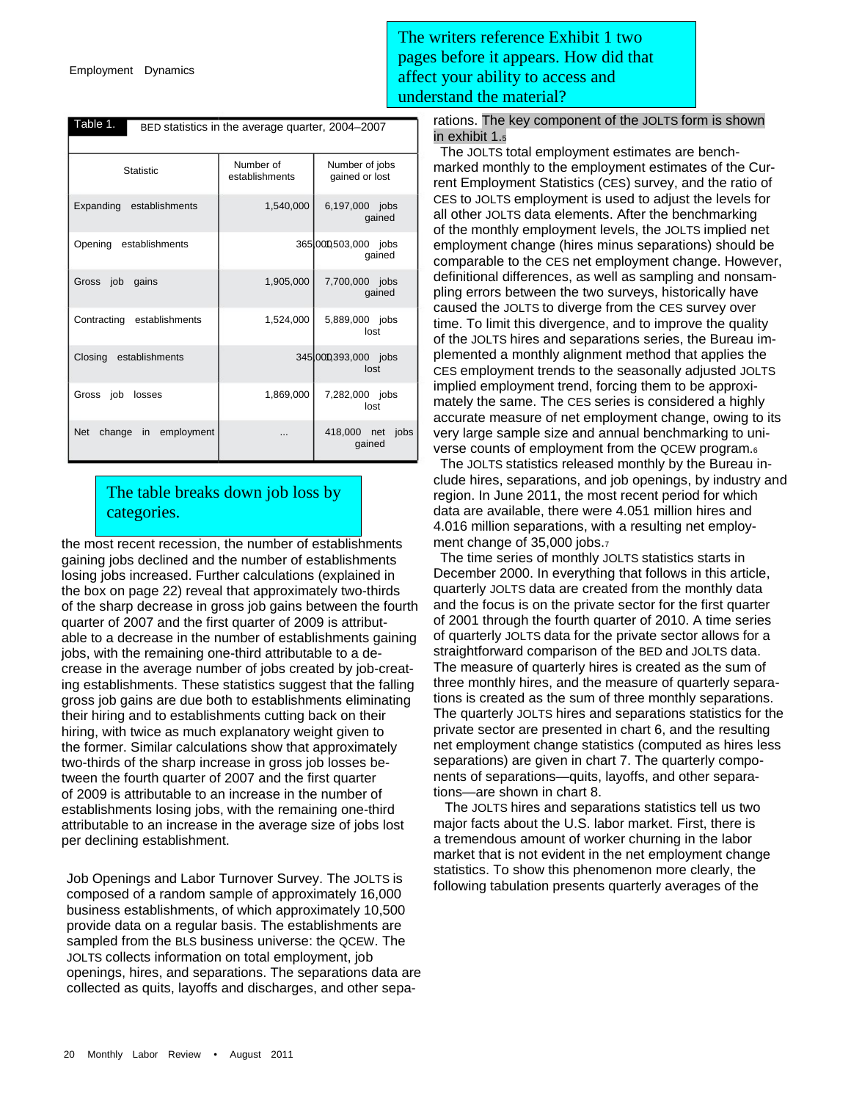| Table 1.<br>BED statistics in the average quarter, 2004–2007 |                             |                                  |  |  |  |  |
|--------------------------------------------------------------|-----------------------------|----------------------------------|--|--|--|--|
| <b>Statistic</b>                                             | Number of<br>establishments | Number of jobs<br>gained or lost |  |  |  |  |
| Expanding establishments                                     | 1,540,000                   | 6,197,000 jobs<br>gained         |  |  |  |  |
| Opening<br>establishments                                    |                             | 365000,503,000 jobs<br>qained    |  |  |  |  |
| job<br>gains<br>Gross                                        | 1,905,000                   | 7,700,000 jobs<br>gained         |  |  |  |  |
| Contracting<br>establishments                                | 1,524,000                   | 5,889,000 jobs<br>lost           |  |  |  |  |
| Closing<br>establishments                                    |                             | 345000,393,000 jobs<br>lost      |  |  |  |  |
| job<br>Gross<br>losses                                       | 1,869,000                   | 7,282,000 jobs<br>lost           |  |  |  |  |
| <b>Net</b><br>change in employment                           | $\cdots$                    | 418,000 net jobs<br>qained       |  |  |  |  |

# The table breaks down job loss by categories.

the most recent recession, the number of establishments gaining jobs declined and the number of establishments losing jobs increased. Further calculations (explained in the box on page 22) reveal that approximately two-thirds of the sharp decrease in gross job gains between the fourth quarter of 2007 and the first quarter of 2009 is attributable to a decrease in the number of establishments gaining jobs, with the remaining one-third attributable to a decrease in the average number of jobs created by job-creating establishments. These statistics suggest that the falling gross job gains are due both to establishments eliminating their hiring and to establishments cutting back on their hiring, with twice as much explanatory weight given to the former. Similar calculations show that approximately two-thirds of the sharp increase in gross job losses between the fourth quarter of 2007 and the first quarter of 2009 is attributable to an increase in the number of establishments losing jobs, with the remaining one-third attributable to an increase in the average size of jobs lost per declining establishment.

Job Openings and Labor Turnover Survey. The JOLTS is composed of a random sample of approximately 16,000 business establishments, of which approximately 10,500 provide data on a regular basis. The establishments are sampled from the BLS business universe: the QCEW. The JOLTS collects information on total employment, job openings, hires, and separations. The separations data are collected as quits, layoffs and discharges, and other sepa-

The writers reference Exhibit 1 two pages before it appears. How did that affect your ability to access and understand the material?

> rations. The key component of the JOLTS form is shown in exhibit 1.5

 The JOLTS total employment estimates are benchmarked monthly to the employment estimates of the Current Employment Statistics (CES) survey, and the ratio of CES to JOLTS employment is used to adjust the levels for all other JOLTS data elements. After the benchmarking of the monthly employment levels, the JOLTS implied net employment change (hires minus separations) should be comparable to the CES net employment change. However, definitional differences, as well as sampling and nonsampling errors between the two surveys, historically have caused the JOLTS to diverge from the CES survey over time. To limit this divergence, and to improve the quality of the JOLTS hires and separations series, the Bureau implemented a monthly alignment method that applies the CES employment trends to the seasonally adjusted JOLTS implied employment trend, forcing them to be approximately the same. The CES series is considered a highly accurate measure of net employment change, owing to its very large sample size and annual benchmarking to universe counts of employment from the QCEW program.6

 The JOLTS statistics released monthly by the Bureau include hires, separations, and job openings, by industry and region. In June 2011, the most recent period for which data are available, there were 4.051 million hires and 4.016 million separations, with a resulting net employment change of 35,000 jobs.7

 The time series of monthly JOLTS statistics starts in December 2000. In everything that follows in this article, quarterly JOLTS data are created from the monthly data and the focus is on the private sector for the first quarter of 2001 through the fourth quarter of 2010. A time series of quarterly JOLTS data for the private sector allows for a straightforward comparison of the BED and JOLTS data. The measure of quarterly hires is created as the sum of three monthly hires, and the measure of quarterly separations is created as the sum of three monthly separations. The quarterly JOLTS hires and separations statistics for the private sector are presented in chart 6, and the resulting net employment change statistics (computed as hires less separations) are given in chart 7. The quarterly components of separations—quits, layoffs, and other separations—are shown in chart 8.

 The JOLTS hires and separations statistics tell us two major facts about the U.S. labor market. First, there is a tremendous amount of worker churning in the labor market that is not evident in the net employment change statistics. To show this phenomenon more clearly, the following tabulation presents quarterly averages of the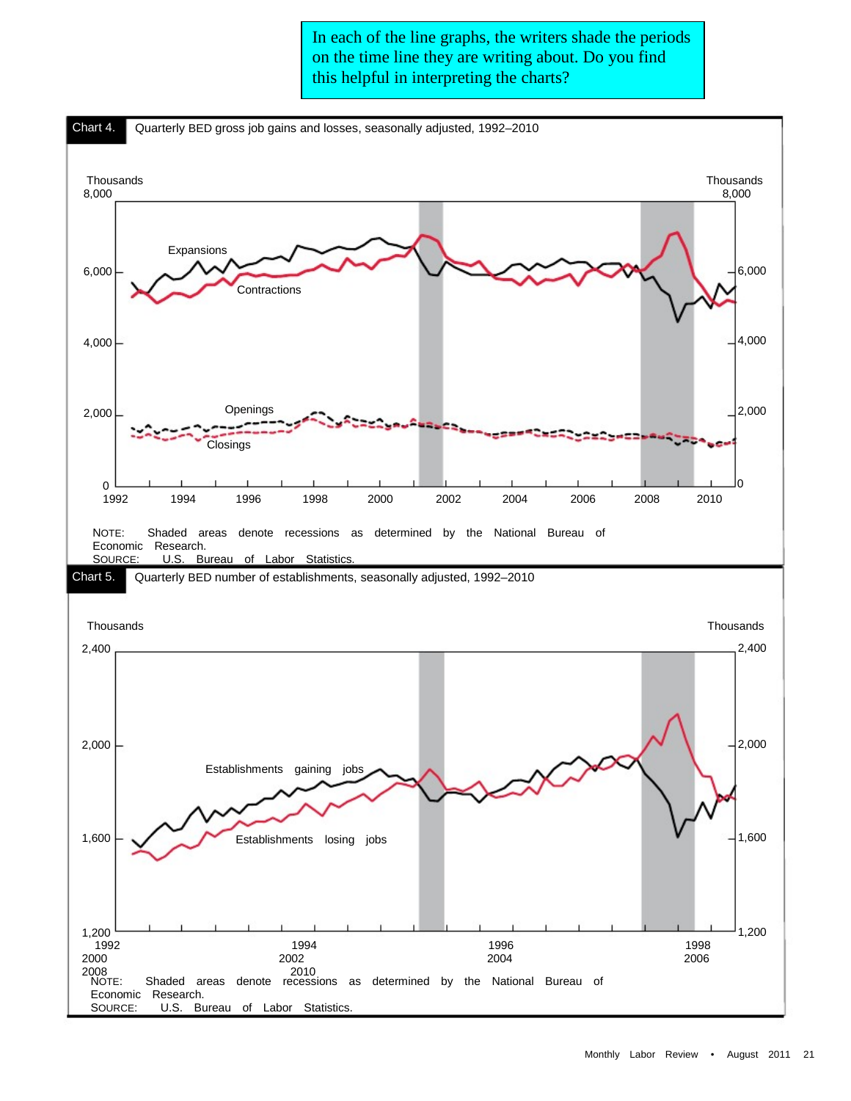In each of the line graphs, the writers shade the periods on the time line they are writing about. Do you find this helpful in interpreting the charts?

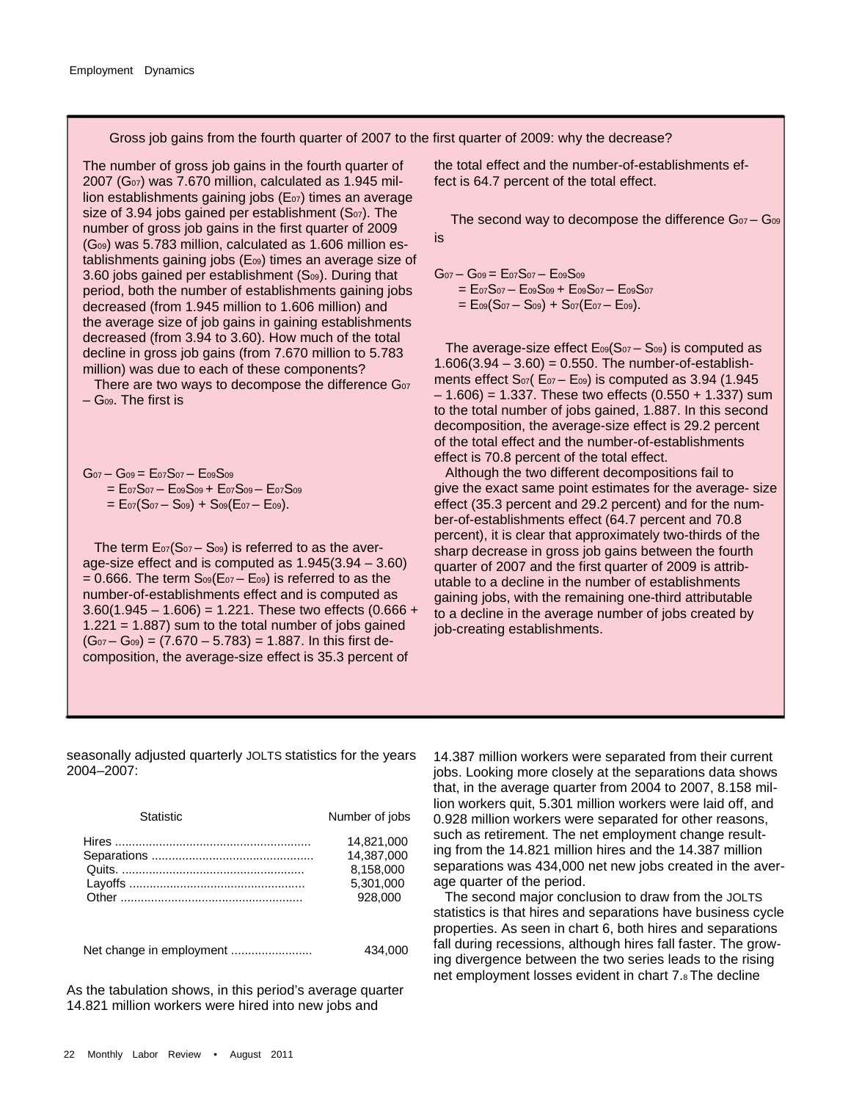Gross job gains from the fourth quarter of 2007 to the first quarter of 2009: why the decrease?

The number of gross job gains in the fourth quarter of  $2007$  (G $_{07}$ ) was 7.670 million, calculated as 1.945 million establishments gaining jobs ( $E<sub>07</sub>$ ) times an average size of 3.94 jobs gained per establishment  $(S<sub>07</sub>)$ . The number of gross job gains in the first quarter of 2009 (G09) was 5.783 million, calculated as 1.606 million establishments gaining jobs (E09) times an average size of 3.60 jobs gained per establishment  $(S<sub>09</sub>)$ . During that period, both the number of establishments gaining jobs decreased (from 1.945 million to 1.606 million) and the average size of job gains in gaining establishments decreased (from 3.94 to 3.60). How much of the total decline in gross job gains (from 7.670 million to 5.783 million) was due to each of these components?

There are two ways to decompose the difference  $G_{07}$ – G09. The first is

 $G_{07} - G_{09} = E_{07}S_{07} - E_{09}S_{09}$  = E07S07 – E09S09 + E07S09 – E07S09  $= E_{07}(S_{07} - S_{09}) + S_{09}(E_{07} - E_{09}).$ 

The term  $E_{07}(S_{07} - S_{09})$  is referred to as the average-size effect and is computed as 1.945(3.94 – 3.60)  $= 0.666$ . The term  $S<sub>09</sub>(E<sub>07</sub> - E<sub>09</sub>)$  is referred to as the number-of-establishments effect and is computed as  $3.60(1.945 - 1.606) = 1.221$ . These two effects  $(0.666 +$  $1.221 = 1.887$ ) sum to the total number of jobs gained  $(G<sub>07</sub> - G<sub>09</sub>) = (7.670 - 5.783) = 1.887$ . In this first decomposition, the average-size effect is 35.3 percent of

the total effect and the number-of-establishments effect is 64.7 percent of the total effect.

is The second way to decompose the difference  $G_{07} - G_{09}$ 

 $G_{07} - G_{09} = E_{07}S_{07} - E_{09}S_{09}$ 

 $= E_{07}S_{07} - E_{09}S_{09} + E_{09}S_{07} - E_{09}S_{07}$  $= E_{09}(S_{07} - S_{09}) + S_{07}(E_{07} - E_{09}).$ 

The average-size effect  $E_{09}(S_{07} - S_{09})$  is computed as  $1.606(3.94 - 3.60) = 0.550$ . The number-of-establishments effect  $S_{07}$ ( $E_{07}$  –  $E_{09}$ ) is computed as 3.94 (1.945)  $-1.606$ ) = 1.337. These two effects (0.550 + 1.337) sum to the total number of jobs gained, 1.887. In this second decomposition, the average-size effect is 29.2 percent of the total effect and the number-of-establishments effect is 70.8 percent of the total effect.

 Although the two different decompositions fail to give the exact same point estimates for the average- size effect (35.3 percent and 29.2 percent) and for the number-of-establishments effect (64.7 percent and 70.8 percent), it is clear that approximately two-thirds of the sharp decrease in gross job gains between the fourth quarter of 2007 and the first quarter of 2009 is attributable to a decline in the number of establishments gaining jobs, with the remaining one-third attributable to a decline in the average number of jobs created by job-creating establishments.

seasonally adjusted quarterly JOLTS statistics for the years 2004–2007:

| <b>Statistic</b>         | Number of jobs                                                |
|--------------------------|---------------------------------------------------------------|
|                          | 14.821.000<br>14.387.000<br>8.158.000<br>5.301.000<br>928.000 |
| Net change in employment | 434.000                                                       |

As the tabulation shows, in this period's average quarter 14.821 million workers were hired into new jobs and

14.387 million workers were separated from their current jobs. Looking more closely at the separations data shows that, in the average quarter from 2004 to 2007, 8.158 million workers quit, 5.301 million workers were laid off, and 0.928 million workers were separated for other reasons, such as retirement. The net employment change resulting from the 14.821 million hires and the 14.387 million separations was 434,000 net new jobs created in the average quarter of the period.

 The second major conclusion to draw from the JOLTS statistics is that hires and separations have business cycle properties. As seen in chart 6, both hires and separations fall during recessions, although hires fall faster. The growing divergence between the two series leads to the rising net employment losses evident in chart 7.8 The decline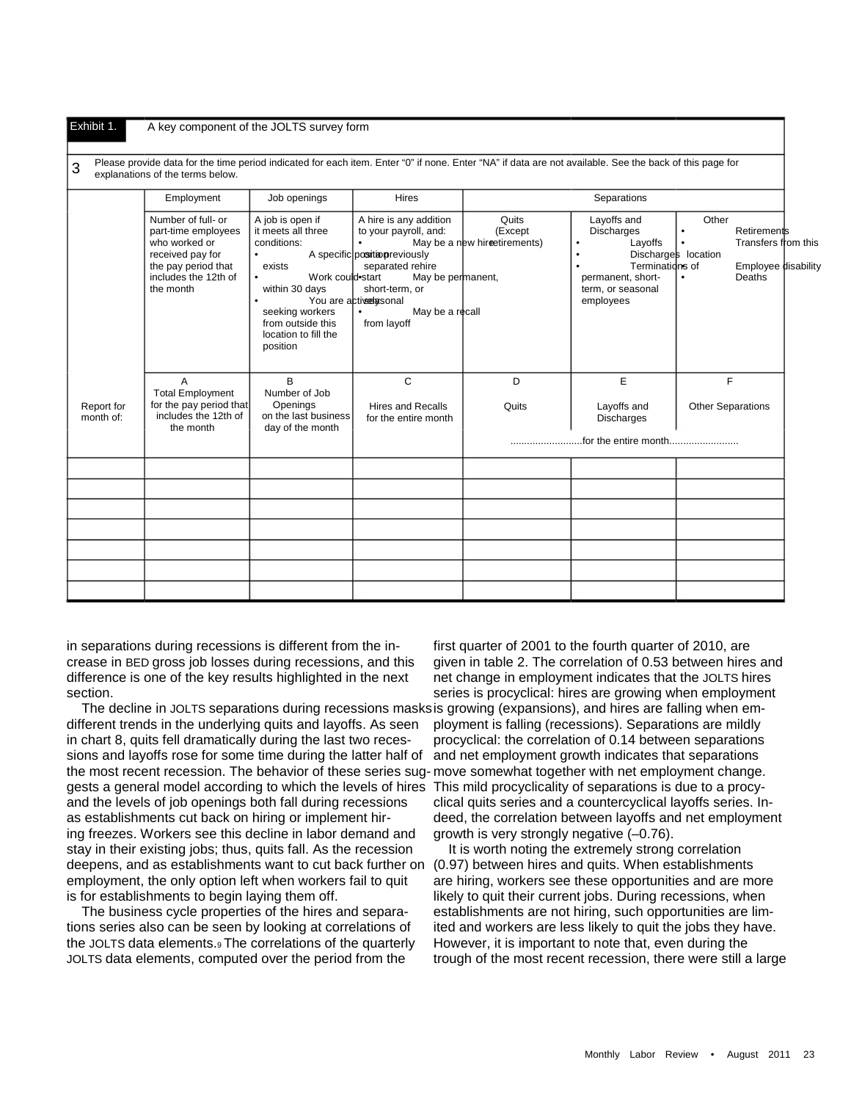#### Exhibit 1. A key component of the JOLTS survey form

3 Please provide data for the time period indicated for each item. Enter "0" if none. Enter "NA" if data are not available. See the back of this page for<br>3 and particles of the target below. explanations of the terms below.

|                         | Employment                                                                                                                                 | Job openings                                                                                                                                                                                             | <b>Hires</b>                                                                                                                                                                                                                       | Separations                                      |                                                                                                                                                              |                                                                                                                                                   |  |
|-------------------------|--------------------------------------------------------------------------------------------------------------------------------------------|----------------------------------------------------------------------------------------------------------------------------------------------------------------------------------------------------------|------------------------------------------------------------------------------------------------------------------------------------------------------------------------------------------------------------------------------------|--------------------------------------------------|--------------------------------------------------------------------------------------------------------------------------------------------------------------|---------------------------------------------------------------------------------------------------------------------------------------------------|--|
|                         | Number of full- or<br>part-time employees<br>who worked or<br>received pay for<br>the pay period that<br>includes the 12th of<br>the month | A job is open if<br>it meets all three<br>conditions:<br>٠<br>exists<br>Work could start<br>$\bullet$<br>within 30 days<br>٠<br>seeking workers<br>from outside this<br>location to fill the<br>position | A hire is any addition<br>to your payroll, and:<br>$\bullet$<br>A specific position previously<br>separated rehire<br>May be permanent,<br>short-term, or<br>You are actived asonal<br>$\bullet$<br>May be a recall<br>from layoff | Quits<br>(Except<br>May be a new hirectirements) | Layoffs and<br><b>Discharges</b><br>Layoffs<br>$\bullet$<br>$\bullet$<br>Terminations of<br>$\bullet$<br>permanent, short-<br>term, or seasonal<br>employees | Other<br><b>Retirements</b><br>$\bullet$<br>Transfers from this<br>$\bullet$<br>Discharges location<br>Employee disability<br>Deaths<br>$\bullet$ |  |
| Report for<br>month of: | A<br><b>Total Employment</b><br>for the pay period that<br>includes the 12th of<br>the month                                               | B<br>Number of Job<br>Openings<br>on the last business<br>day of the month                                                                                                                               | C<br><b>Hires and Recalls</b><br>for the entire month                                                                                                                                                                              | D<br>Quits                                       | E<br>Layoffs and<br><b>Discharges</b>                                                                                                                        | F<br><b>Other Separations</b>                                                                                                                     |  |
|                         |                                                                                                                                            |                                                                                                                                                                                                          |                                                                                                                                                                                                                                    |                                                  |                                                                                                                                                              |                                                                                                                                                   |  |
|                         |                                                                                                                                            |                                                                                                                                                                                                          |                                                                                                                                                                                                                                    |                                                  |                                                                                                                                                              |                                                                                                                                                   |  |
|                         |                                                                                                                                            |                                                                                                                                                                                                          |                                                                                                                                                                                                                                    |                                                  |                                                                                                                                                              |                                                                                                                                                   |  |
|                         |                                                                                                                                            |                                                                                                                                                                                                          |                                                                                                                                                                                                                                    |                                                  |                                                                                                                                                              |                                                                                                                                                   |  |
|                         |                                                                                                                                            |                                                                                                                                                                                                          |                                                                                                                                                                                                                                    |                                                  |                                                                                                                                                              |                                                                                                                                                   |  |
|                         |                                                                                                                                            |                                                                                                                                                                                                          |                                                                                                                                                                                                                                    |                                                  |                                                                                                                                                              |                                                                                                                                                   |  |
|                         |                                                                                                                                            |                                                                                                                                                                                                          |                                                                                                                                                                                                                                    |                                                  |                                                                                                                                                              |                                                                                                                                                   |  |

in separations during recessions is different from the increase in BED gross job losses during recessions, and this difference is one of the key results highlighted in the next section.

 The decline in JOLTS separations during recessions masks is growing (expansions), and hires are falling when emdifferent trends in the underlying quits and layoffs. As seen in chart 8, quits fell dramatically during the last two recessions and layoffs rose for some time during the latter half of the most recent recession. The behavior of these series sug-move somewhat together with net employment change. gests a general model according to which the levels of hires This mild procyclicality of separations is due to a procyand the levels of job openings both fall during recessions as establishments cut back on hiring or implement hiring freezes. Workers see this decline in labor demand and stay in their existing jobs; thus, quits fall. As the recession deepens, and as establishments want to cut back further on employment, the only option left when workers fail to quit is for establishments to begin laying them off.

 The business cycle properties of the hires and separations series also can be seen by looking at correlations of the JOLTS data elements.9 The correlations of the quarterly JOLTS data elements, computed over the period from the

first quarter of 2001 to the fourth quarter of 2010, are given in table 2. The correlation of 0.53 between hires and net change in employment indicates that the JOLTS hires series is procyclical: hires are growing when employment ployment is falling (recessions). Separations are mildly procyclical: the correlation of 0.14 between separations and net employment growth indicates that separations clical quits series and a countercyclical layoffs series. Indeed, the correlation between layoffs and net employment growth is very strongly negative (–0.76).

 It is worth noting the extremely strong correlation (0.97) between hires and quits. When establishments are hiring, workers see these opportunities and are more likely to quit their current jobs. During recessions, when establishments are not hiring, such opportunities are limited and workers are less likely to quit the jobs they have. However, it is important to note that, even during the trough of the most recent recession, there were still a large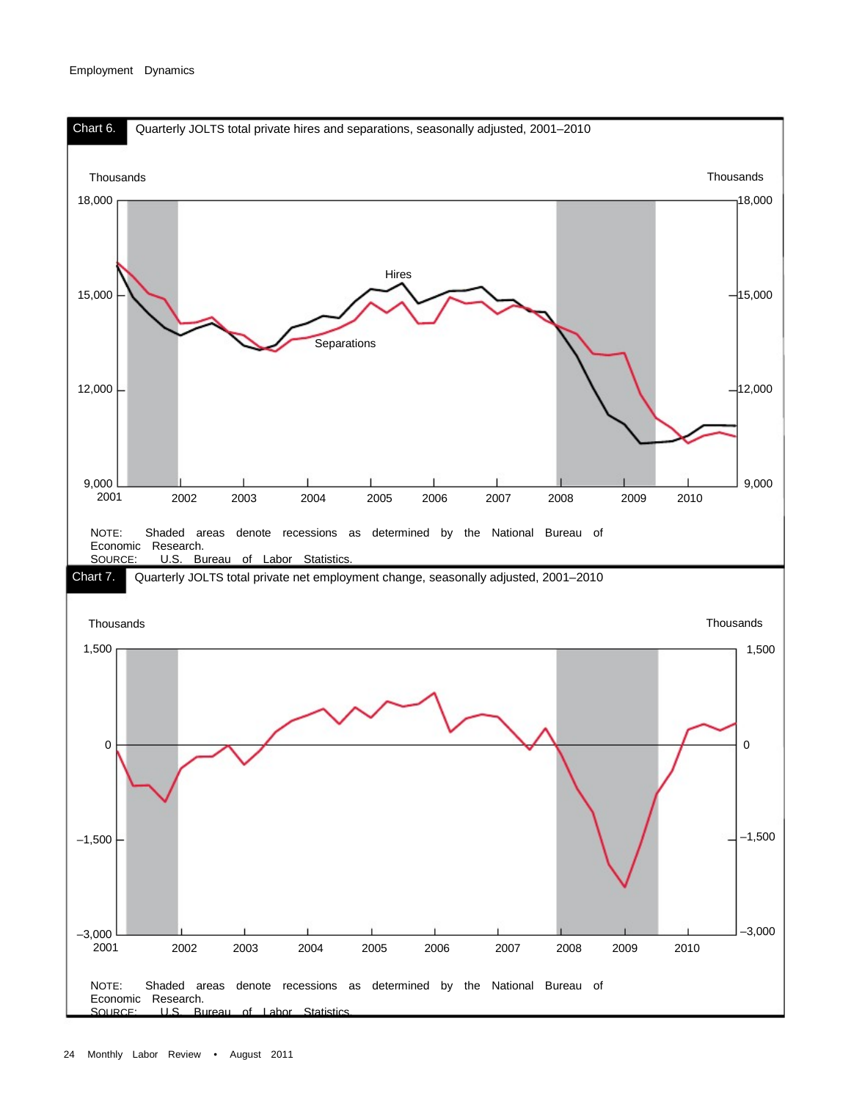#### Employment Dynamics

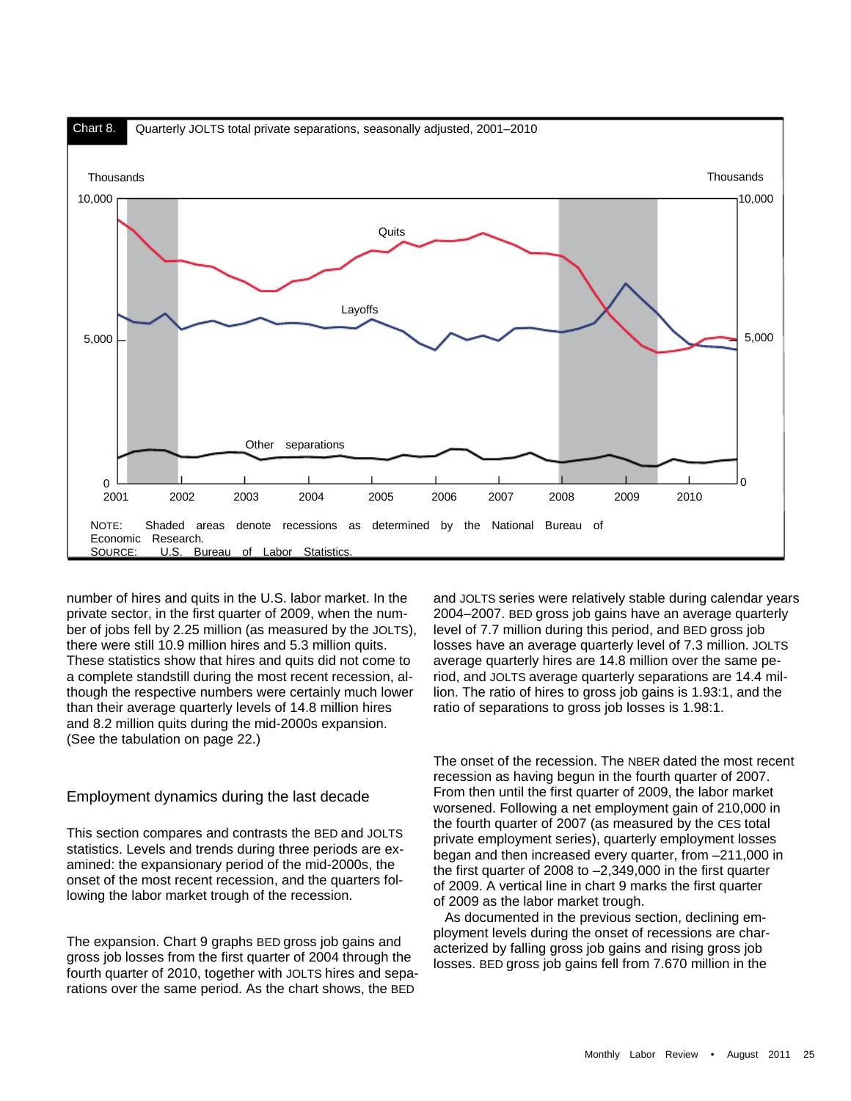

number of hires and quits in the U.S. labor market. In the private sector, in the first quarter of 2009, when the number of jobs fell by 2.25 million (as measured by the JOLTS), there were still 10.9 million hires and 5.3 million quits. These statistics show that hires and quits did not come to a complete standstill during the most recent recession, although the respective numbers were certainly much lower than their average quarterly levels of 14.8 million hires and 8.2 million quits during the mid-2000s expansion. (See the tabulation on page 22.)

# Employment dynamics during the last decade

This section compares and contrasts the BED and JOLTS statistics. Levels and trends during three periods are examined: the expansionary period of the mid-2000s, the onset of the most recent recession, and the quarters following the labor market trough of the recession.

The expansion. Chart 9 graphs BED gross job gains and gross job losses from the first quarter of 2004 through the fourth quarter of 2010, together with JOLTS hires and separations over the same period. As the chart shows, the BED

and JOLTS series were relatively stable during calendar years 2004–2007. BED gross job gains have an average quarterly level of 7.7 million during this period, and BED gross job losses have an average quarterly level of 7.3 million. JOLTS average quarterly hires are 14.8 million over the same period, and JOLTS average quarterly separations are 14.4 million. The ratio of hires to gross job gains is 1.93:1, and the ratio of separations to gross job losses is 1.98:1.

The onset of the recession. The NBER dated the most recent recession as having begun in the fourth quarter of 2007. From then until the first quarter of 2009, the labor market worsened. Following a net employment gain of 210,000 in the fourth quarter of 2007 (as measured by the CES total private employment series), quarterly employment losses began and then increased every quarter, from –211,000 in the first quarter of 2008 to –2,349,000 in the first quarter of 2009. A vertical line in chart 9 marks the first quarter of 2009 as the labor market trough.

 As documented in the previous section, declining employment levels during the onset of recessions are characterized by falling gross job gains and rising gross job losses. BED gross job gains fell from 7.670 million in the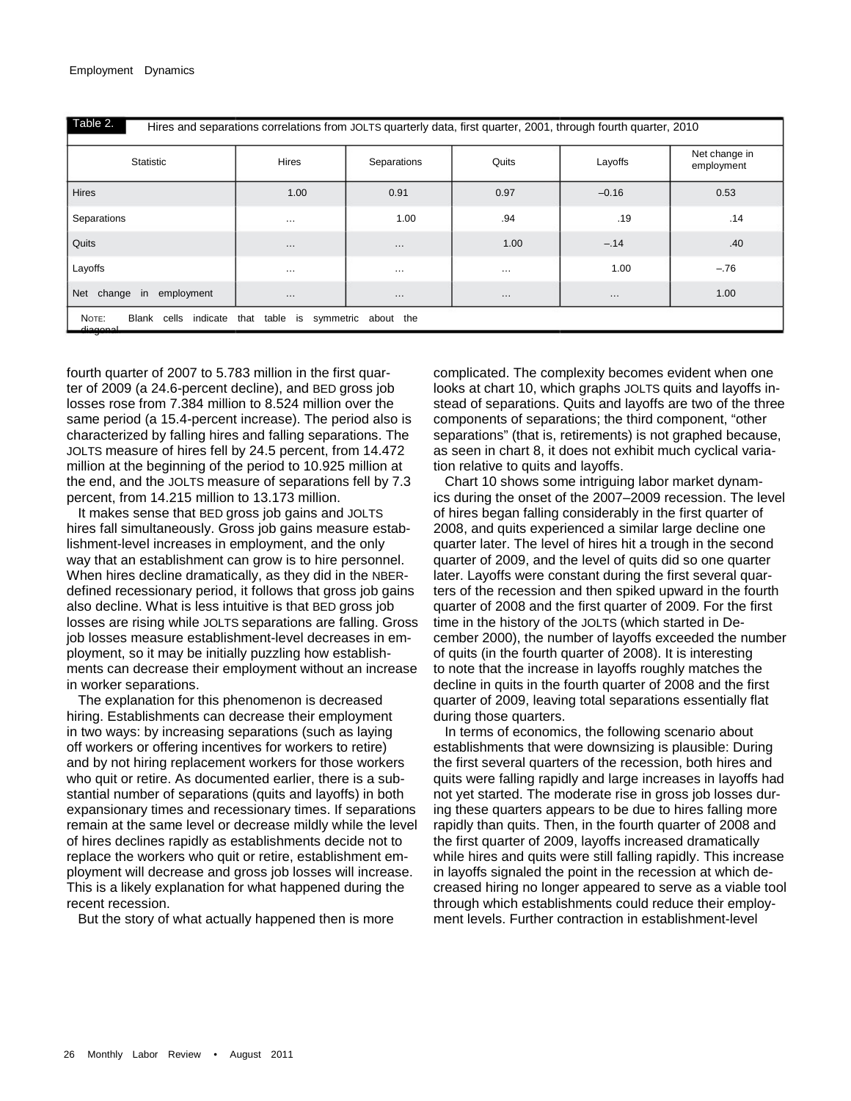Table 2. Hires and separations correlations from JOLTS quarterly data, first quarter, 2001, through fourth quarter, 2010

| Statistic                                                                     | Hires    | Separations | Quits    | Layoffs  | Net change in<br>employment |  |
|-------------------------------------------------------------------------------|----------|-------------|----------|----------|-----------------------------|--|
| Hires                                                                         | 1.00     | 0.91        | 0.97     | $-0.16$  | 0.53                        |  |
| Separations                                                                   | $\cdots$ | 1.00        | .94      | .19      | .14                         |  |
| Quits                                                                         | $\cdots$ | $\cdots$    | 1.00     | $-.14$   | .40                         |  |
| Layoffs                                                                       | $\cdots$ | $\cdots$    | $\cdots$ | 1.00     | $-.76$                      |  |
| Net change in employment                                                      | $\cdots$ | $\cdots$    | $\cdots$ | $\cdots$ | 1.00                        |  |
| NOTE:<br>Blank cells indicate that table is symmetric about the<br>للمممومتاه |          |             |          |          |                             |  |

fourth quarter of 2007 to 5.783 million in the first quarter of 2009 (a 24.6-percent decline), and BED gross job losses rose from 7.384 million to 8.524 million over the same period (a 15.4-percent increase). The period also is characterized by falling hires and falling separations. The JOLTS measure of hires fell by 24.5 percent, from 14.472 million at the beginning of the period to 10.925 million at the end, and the JOLTS measure of separations fell by 7.3 percent, from 14.215 million to 13.173 million.

 It makes sense that BED gross job gains and JOLTS hires fall simultaneously. Gross job gains measure establishment-level increases in employment, and the only way that an establishment can grow is to hire personnel. When hires decline dramatically, as they did in the NBERdefined recessionary period, it follows that gross job gains also decline. What is less intuitive is that BED gross job losses are rising while JOLTS separations are falling. Gross job losses measure establishment-level decreases in employment, so it may be initially puzzling how establishments can decrease their employment without an increase in worker separations.

 The explanation for this phenomenon is decreased hiring. Establishments can decrease their employment in two ways: by increasing separations (such as laying off workers or offering incentives for workers to retire) and by not hiring replacement workers for those workers who quit or retire. As documented earlier, there is a substantial number of separations (quits and layoffs) in both expansionary times and recessionary times. If separations remain at the same level or decrease mildly while the level of hires declines rapidly as establishments decide not to replace the workers who quit or retire, establishment employment will decrease and gross job losses will increase. This is a likely explanation for what happened during the recent recession.

But the story of what actually happened then is more

complicated. The complexity becomes evident when one looks at chart 10, which graphs JOLTS quits and layoffs instead of separations. Quits and layoffs are two of the three components of separations; the third component, "other separations" (that is, retirements) is not graphed because, as seen in chart 8, it does not exhibit much cyclical variation relative to quits and layoffs.

 Chart 10 shows some intriguing labor market dynamics during the onset of the 2007–2009 recession. The level of hires began falling considerably in the first quarter of 2008, and quits experienced a similar large decline one quarter later. The level of hires hit a trough in the second quarter of 2009, and the level of quits did so one quarter later. Layoffs were constant during the first several quarters of the recession and then spiked upward in the fourth quarter of 2008 and the first quarter of 2009. For the first time in the history of the JOLTS (which started in December 2000), the number of layoffs exceeded the number of quits (in the fourth quarter of 2008). It is interesting to note that the increase in layoffs roughly matches the decline in quits in the fourth quarter of 2008 and the first quarter of 2009, leaving total separations essentially flat during those quarters.

 In terms of economics, the following scenario about establishments that were downsizing is plausible: During the first several quarters of the recession, both hires and quits were falling rapidly and large increases in layoffs had not yet started. The moderate rise in gross job losses during these quarters appears to be due to hires falling more rapidly than quits. Then, in the fourth quarter of 2008 and the first quarter of 2009, layoffs increased dramatically while hires and quits were still falling rapidly. This increase in layoffs signaled the point in the recession at which decreased hiring no longer appeared to serve as a viable tool through which establishments could reduce their employment levels. Further contraction in establishment-level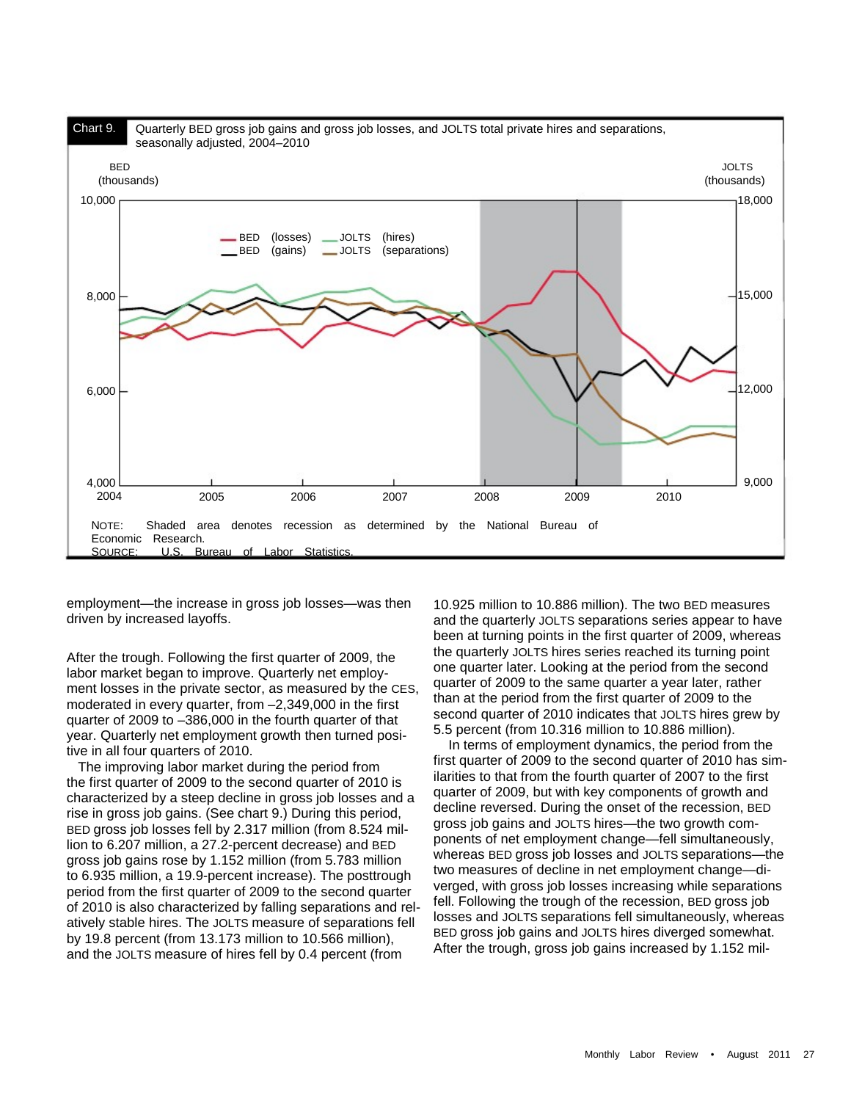

employment—the increase in gross job losses—was then driven by increased layoffs.

After the trough. Following the first quarter of 2009, the labor market began to improve. Quarterly net employment losses in the private sector, as measured by the CES, moderated in every quarter, from –2,349,000 in the first quarter of 2009 to –386,000 in the fourth quarter of that year. Quarterly net employment growth then turned positive in all four quarters of 2010.

 The improving labor market during the period from the first quarter of 2009 to the second quarter of 2010 is characterized by a steep decline in gross job losses and a rise in gross job gains. (See chart 9.) During this period, BED gross job losses fell by 2.317 million (from 8.524 million to 6.207 million, a 27.2-percent decrease) and BED gross job gains rose by 1.152 million (from 5.783 million to 6.935 million, a 19.9-percent increase). The posttrough period from the first quarter of 2009 to the second quarter of 2010 is also characterized by falling separations and relatively stable hires. The JOLTS measure of separations fell by 19.8 percent (from 13.173 million to 10.566 million), and the JOLTS measure of hires fell by 0.4 percent (from

10.925 million to 10.886 million). The two BED measures and the quarterly JOLTS separations series appear to have been at turning points in the first quarter of 2009, whereas the quarterly JOLTS hires series reached its turning point one quarter later. Looking at the period from the second quarter of 2009 to the same quarter a year later, rather than at the period from the first quarter of 2009 to the second quarter of 2010 indicates that JOLTS hires grew by 5.5 percent (from 10.316 million to 10.886 million).

 In terms of employment dynamics, the period from the first quarter of 2009 to the second quarter of 2010 has similarities to that from the fourth quarter of 2007 to the first quarter of 2009, but with key components of growth and decline reversed. During the onset of the recession, BED gross job gains and JOLTS hires—the two growth components of net employment change—fell simultaneously, whereas BED gross job losses and JOLTS separations—the two measures of decline in net employment change—diverged, with gross job losses increasing while separations fell. Following the trough of the recession, BED gross job losses and JOLTS separations fell simultaneously, whereas BED gross job gains and JOLTS hires diverged somewhat. After the trough, gross job gains increased by 1.152 mil-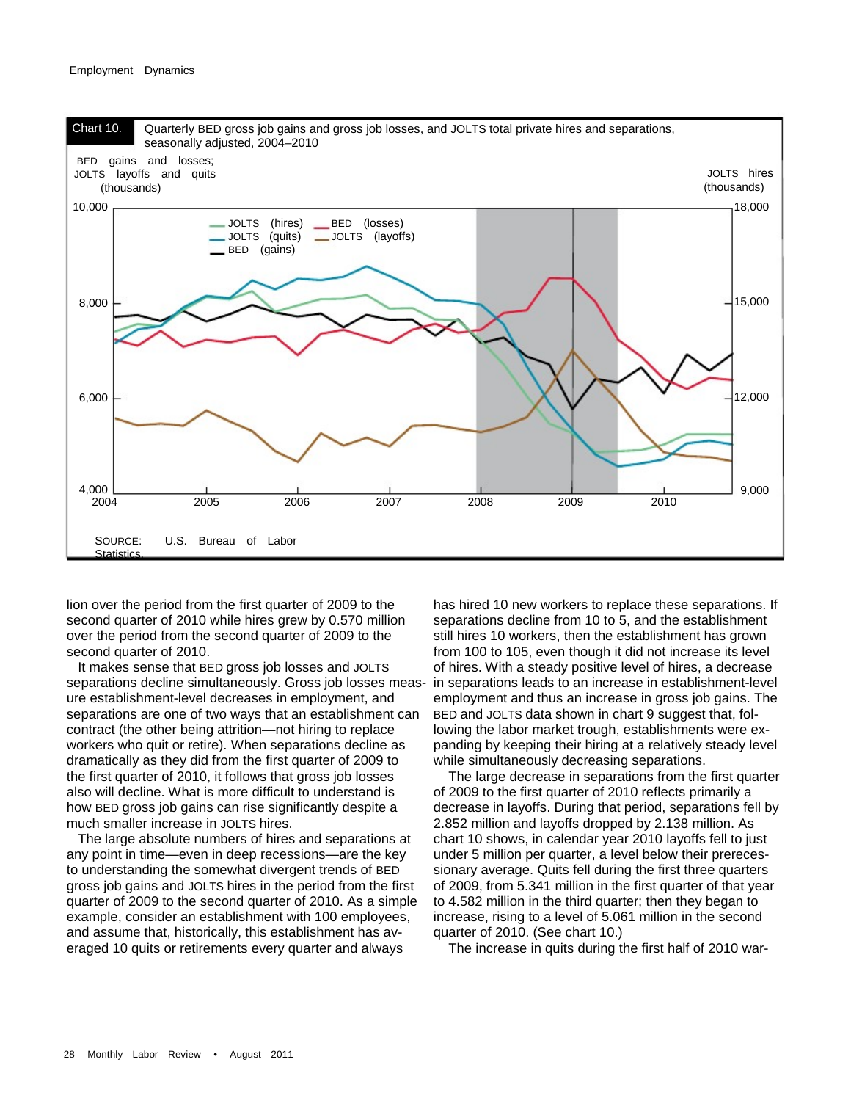#### Employment Dynamics



lion over the period from the first quarter of 2009 to the second quarter of 2010 while hires grew by 0.570 million over the period from the second quarter of 2009 to the second quarter of 2010.

 It makes sense that BED gross job losses and JOLTS separations decline simultaneously. Gross job losses meas-in separations leads to an increase in establishment-level ure establishment-level decreases in employment, and separations are one of two ways that an establishment can contract (the other being attrition—not hiring to replace workers who quit or retire). When separations decline as dramatically as they did from the first quarter of 2009 to the first quarter of 2010, it follows that gross job losses also will decline. What is more difficult to understand is how BED gross job gains can rise significantly despite a much smaller increase in JOLTS hires.

 The large absolute numbers of hires and separations at any point in time—even in deep recessions—are the key to understanding the somewhat divergent trends of BED gross job gains and JOLTS hires in the period from the first quarter of 2009 to the second quarter of 2010. As a simple example, consider an establishment with 100 employees, and assume that, historically, this establishment has averaged 10 quits or retirements every quarter and always

has hired 10 new workers to replace these separations. If separations decline from 10 to 5, and the establishment still hires 10 workers, then the establishment has grown from 100 to 105, even though it did not increase its level of hires. With a steady positive level of hires, a decrease employment and thus an increase in gross job gains. The BED and JOLTS data shown in chart 9 suggest that, following the labor market trough, establishments were expanding by keeping their hiring at a relatively steady level while simultaneously decreasing separations.

 The large decrease in separations from the first quarter of 2009 to the first quarter of 2010 reflects primarily a decrease in layoffs. During that period, separations fell by 2.852 million and layoffs dropped by 2.138 million. As chart 10 shows, in calendar year 2010 layoffs fell to just under 5 million per quarter, a level below their prerecessionary average. Quits fell during the first three quarters of 2009, from 5.341 million in the first quarter of that year to 4.582 million in the third quarter; then they began to increase, rising to a level of 5.061 million in the second quarter of 2010. (See chart 10.)

The increase in quits during the first half of 2010 war-